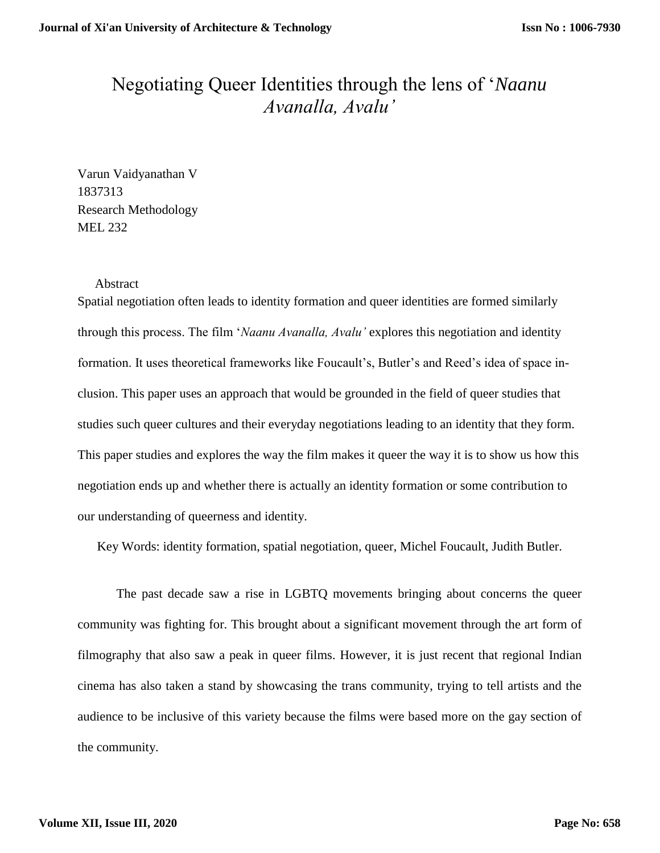## Negotiating Queer Identities through the lens of '*Naanu Avanalla, Avalu'*

Varun Vaidyanathan V 1837313 Research Methodology MEL 232

## Abstract

Spatial negotiation often leads to identity formation and queer identities are formed similarly through this process. The film '*Naanu Avanalla, Avalu'* explores this negotiation and identity formation. It uses theoretical frameworks like Foucault's, Butler's and Reed's idea of space inclusion. This paper uses an approach that would be grounded in the field of queer studies that studies such queer cultures and their everyday negotiations leading to an identity that they form. This paper studies and explores the way the film makes it queer the way it is to show us how this negotiation ends up and whether there is actually an identity formation or some contribution to our understanding of queerness and identity.

Key Words: identity formation, spatial negotiation, queer, Michel Foucault, Judith Butler.

The past decade saw a rise in LGBTQ movements bringing about concerns the queer community was fighting for. This brought about a significant movement through the art form of filmography that also saw a peak in queer films. However, it is just recent that regional Indian cinema has also taken a stand by showcasing the trans community, trying to tell artists and the audience to be inclusive of this variety because the films were based more on the gay section of the community.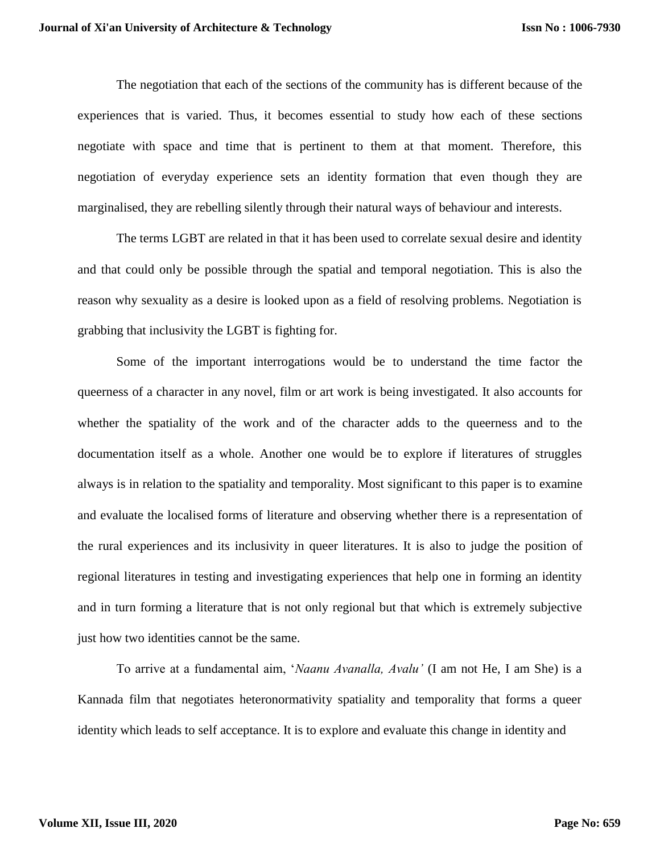The negotiation that each of the sections of the community has is different because of the experiences that is varied. Thus, it becomes essential to study how each of these sections negotiate with space and time that is pertinent to them at that moment. Therefore, this negotiation of everyday experience sets an identity formation that even though they are marginalised, they are rebelling silently through their natural ways of behaviour and interests.

The terms LGBT are related in that it has been used to correlate sexual desire and identity and that could only be possible through the spatial and temporal negotiation. This is also the reason why sexuality as a desire is looked upon as a field of resolving problems. Negotiation is grabbing that inclusivity the LGBT is fighting for.

Some of the important interrogations would be to understand the time factor the queerness of a character in any novel, film or art work is being investigated. It also accounts for whether the spatiality of the work and of the character adds to the queerness and to the documentation itself as a whole. Another one would be to explore if literatures of struggles always is in relation to the spatiality and temporality. Most significant to this paper is to examine and evaluate the localised forms of literature and observing whether there is a representation of the rural experiences and its inclusivity in queer literatures. It is also to judge the position of regional literatures in testing and investigating experiences that help one in forming an identity and in turn forming a literature that is not only regional but that which is extremely subjective just how two identities cannot be the same.

To arrive at a fundamental aim, '*Naanu Avanalla, Avalu'* (I am not He, I am She) is a Kannada film that negotiates heteronormativity spatiality and temporality that forms a queer identity which leads to self acceptance. It is to explore and evaluate this change in identity and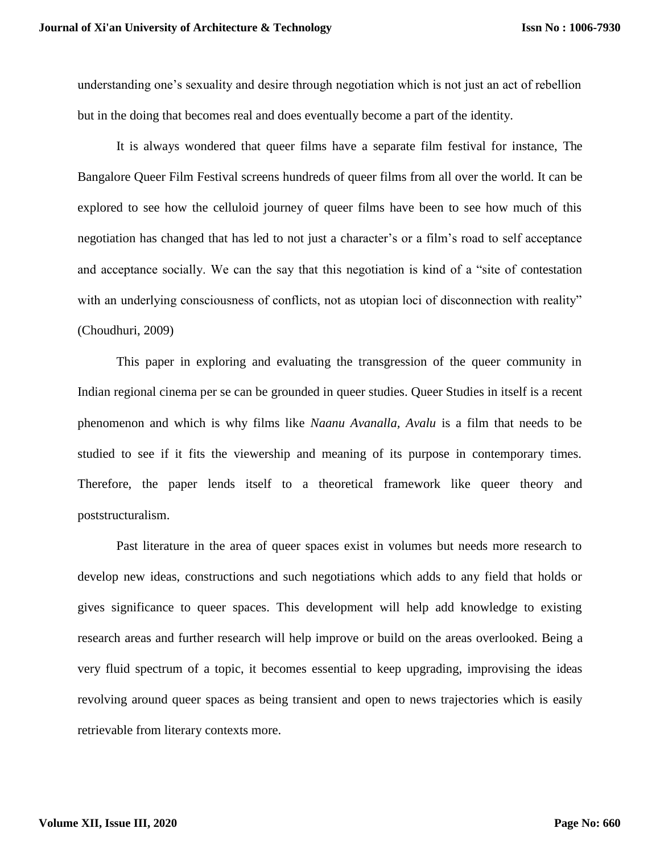understanding one's sexuality and desire through negotiation which is not just an act of rebellion but in the doing that becomes real and does eventually become a part of the identity.

It is always wondered that queer films have a separate film festival for instance, The Bangalore Queer Film Festival screens hundreds of queer films from all over the world. It can be explored to see how the celluloid journey of queer films have been to see how much of this negotiation has changed that has led to not just a character's or a film's road to self acceptance and acceptance socially. We can the say that this negotiation is kind of a "site of contestation with an underlying consciousness of conflicts, not as utopian loci of disconnection with reality" (Choudhuri, 2009)

This paper in exploring and evaluating the transgression of the queer community in Indian regional cinema per se can be grounded in queer studies. Queer Studies in itself is a recent phenomenon and which is why films like *Naanu Avanalla, Avalu* is a film that needs to be studied to see if it fits the viewership and meaning of its purpose in contemporary times. Therefore, the paper lends itself to a theoretical framework like queer theory and poststructuralism.

Past literature in the area of queer spaces exist in volumes but needs more research to develop new ideas, constructions and such negotiations which adds to any field that holds or gives significance to queer spaces. This development will help add knowledge to existing research areas and further research will help improve or build on the areas overlooked. Being a very fluid spectrum of a topic, it becomes essential to keep upgrading, improvising the ideas revolving around queer spaces as being transient and open to news trajectories which is easily retrievable from literary contexts more.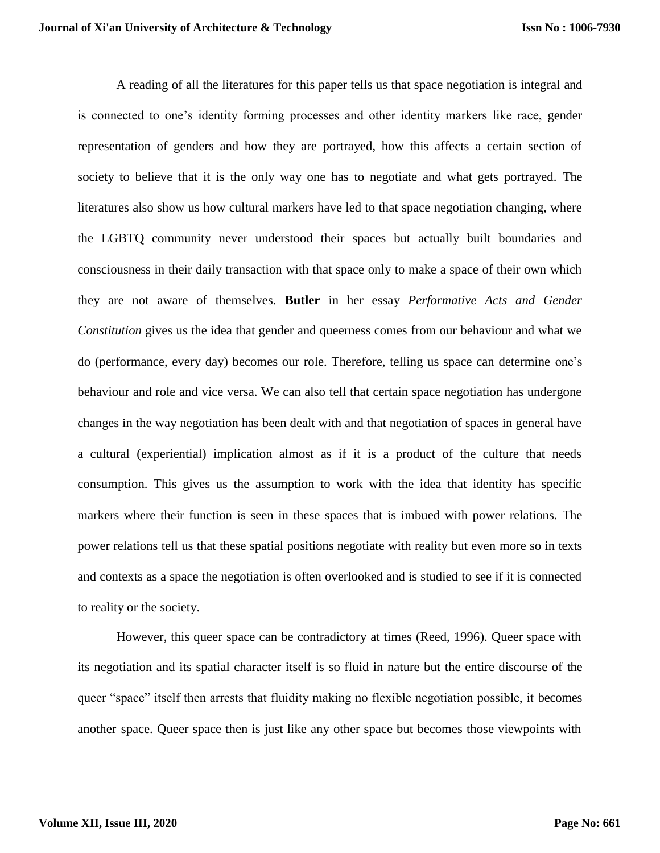A reading of all the literatures for this paper tells us that space negotiation is integral and is connected to one's identity forming processes and other identity markers like race, gender representation of genders and how they are portrayed, how this affects a certain section of society to believe that it is the only way one has to negotiate and what gets portrayed. The literatures also show us how cultural markers have led to that space negotiation changing, where the LGBTQ community never understood their spaces but actually built boundaries and consciousness in their daily transaction with that space only to make a space of their own which they are not aware of themselves. **Butler** in her essay *Performative Acts and Gender Constitution* gives us the idea that gender and queerness comes from our behaviour and what we do (performance, every day) becomes our role. Therefore, telling us space can determine one's behaviour and role and vice versa. We can also tell that certain space negotiation has undergone changes in the way negotiation has been dealt with and that negotiation of spaces in general have a cultural (experiential) implication almost as if it is a product of the culture that needs consumption. This gives us the assumption to work with the idea that identity has specific markers where their function is seen in these spaces that is imbued with power relations. The power relations tell us that these spatial positions negotiate with reality but even more so in texts and contexts as a space the negotiation is often overlooked and is studied to see if it is connected to reality or the society.

However, this queer space can be contradictory at times (Reed, 1996). Queer space with its negotiation and its spatial character itself is so fluid in nature but the entire discourse of the queer "space" itself then arrests that fluidity making no flexible negotiation possible, it becomes another space. Queer space then is just like any other space but becomes those viewpoints with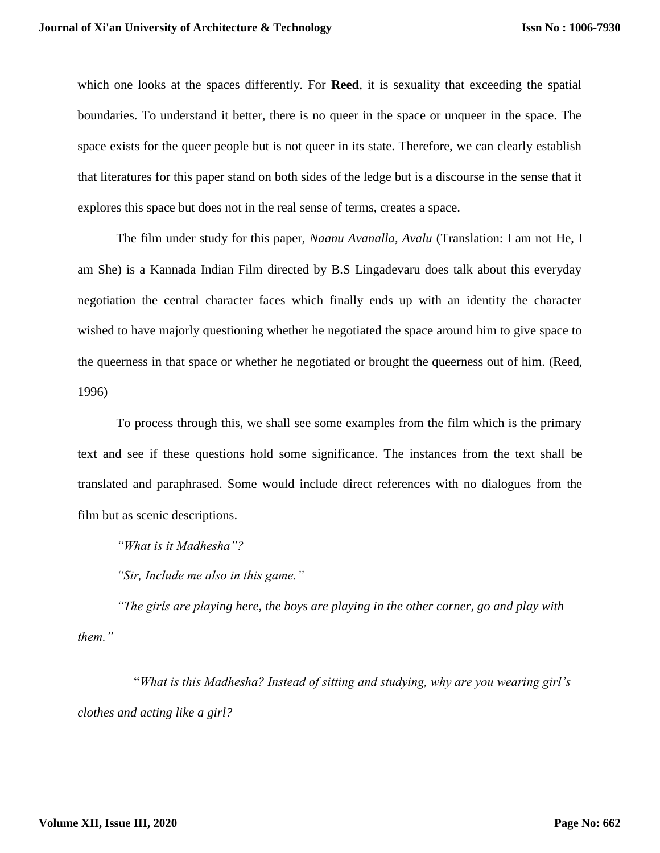which one looks at the spaces differently. For **Reed**, it is sexuality that exceeding the spatial boundaries. To understand it better, there is no queer in the space or unqueer in the space. The space exists for the queer people but is not queer in its state. Therefore, we can clearly establish that literatures for this paper stand on both sides of the ledge but is a discourse in the sense that it explores this space but does not in the real sense of terms, creates a space.

The film under study for this paper, *Naanu Avanalla, Avalu* (Translation: I am not He, I am She) is a Kannada Indian Film directed by B.S Lingadevaru does talk about this everyday negotiation the central character faces which finally ends up with an identity the character wished to have majorly questioning whether he negotiated the space around him to give space to the queerness in that space or whether he negotiated or brought the queerness out of him. (Reed, 1996)

To process through this, we shall see some examples from the film which is the primary text and see if these questions hold some significance. The instances from the text shall be translated and paraphrased. Some would include direct references with no dialogues from the film but as scenic descriptions.

*"What is it Madhesha"?*

*"Sir, Include me also in this game."*

*"The girls are playing here, the boys are playing in the other corner, go and play with them."*

"*What is this Madhesha? Instead of sitting and studying, why are you wearing girl's clothes and acting like a girl?*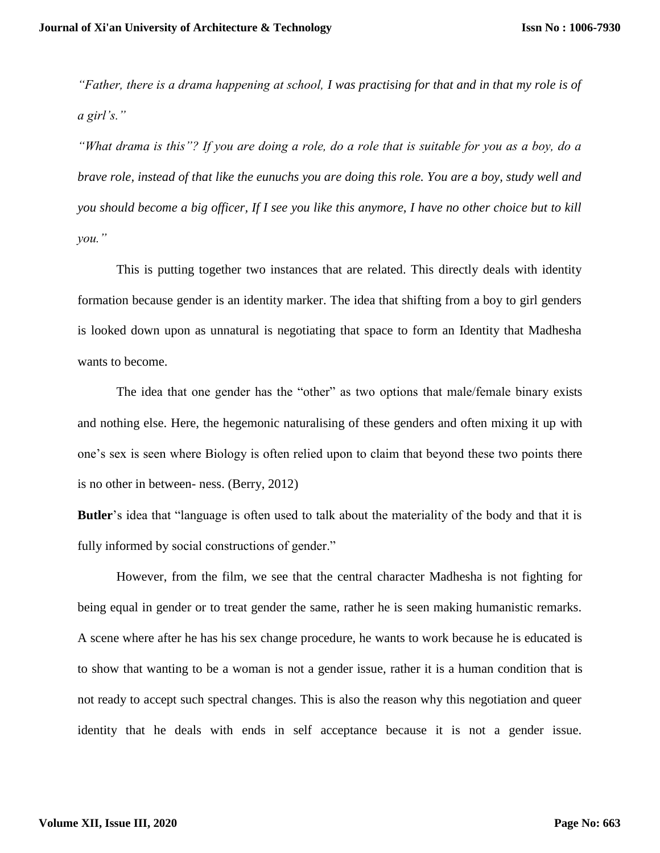*"Father, there is a drama happening at school, I was practising for that and in that my role is of a girl's."*

*"What drama is this"? If you are doing a role, do a role that is suitable for you as a boy, do a brave role, instead of that like the eunuchs you are doing this role. You are a boy, study well and you should become a big officer, If I see you like this anymore, I have no other choice but to kill you."*

This is putting together two instances that are related. This directly deals with identity formation because gender is an identity marker. The idea that shifting from a boy to girl genders is looked down upon as unnatural is negotiating that space to form an Identity that Madhesha wants to become.

The idea that one gender has the "other" as two options that male/female binary exists and nothing else. Here, the hegemonic naturalising of these genders and often mixing it up with one's sex is seen where Biology is often relied upon to claim that beyond these two points there is no other in between- ness. (Berry, 2012)

**Butler**'s idea that "language is often used to talk about the materiality of the body and that it is fully informed by social constructions of gender."

However, from the film, we see that the central character Madhesha is not fighting for being equal in gender or to treat gender the same, rather he is seen making humanistic remarks. A scene where after he has his sex change procedure, he wants to work because he is educated is to show that wanting to be a woman is not a gender issue, rather it is a human condition that is not ready to accept such spectral changes. This is also the reason why this negotiation and queer identity that he deals with ends in self acceptance because it is not a gender issue.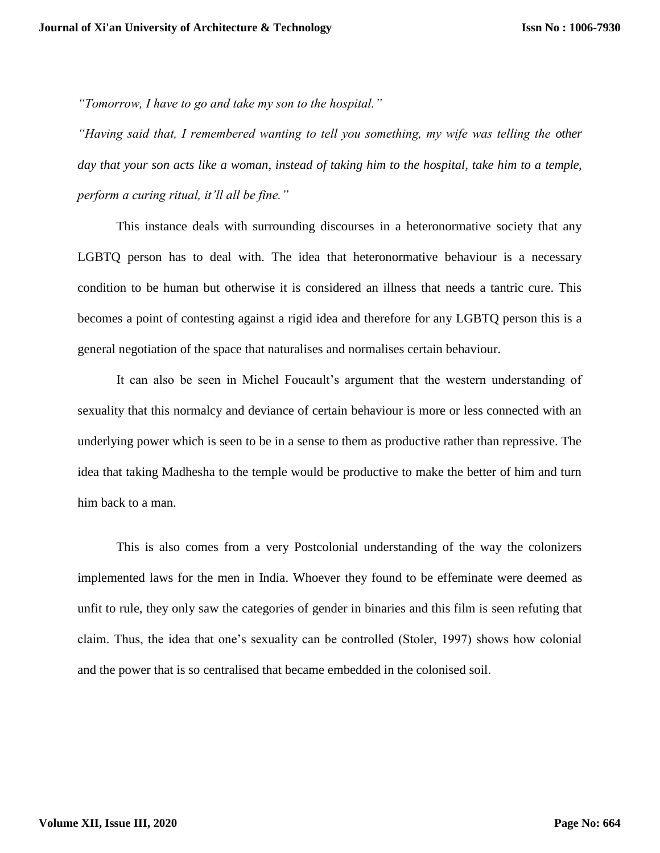*"Tomorrow, I have to go and take my son to the hospital."*

*"Having said that, I remembered wanting to tell you something, my wife was telling the other day that your son acts like a woman, instead of taking him to the hospital, take him to a temple, perform a curing ritual, it'll all be fine."*

This instance deals with surrounding discourses in a heteronormative society that any LGBTQ person has to deal with. The idea that heteronormative behaviour is a necessary condition to be human but otherwise it is considered an illness that needs a tantric cure. This becomes a point of contesting against a rigid idea and therefore for any LGBTQ person this is a general negotiation of the space that naturalises and normalises certain behaviour.

It can also be seen in Michel Foucault's argument that the western understanding of sexuality that this normalcy and deviance of certain behaviour is more or less connected with an underlying power which is seen to be in a sense to them as productive rather than repressive. The idea that taking Madhesha to the temple would be productive to make the better of him and turn him back to a man.

This is also comes from a very Postcolonial understanding of the way the colonizers implemented laws for the men in India. Whoever they found to be effeminate were deemed as unfit to rule, they only saw the categories of gender in binaries and this film is seen refuting that claim. Thus, the idea that one's sexuality can be controlled (Stoler, 1997) shows how colonial and the power that is so centralised that became embedded in the colonised soil.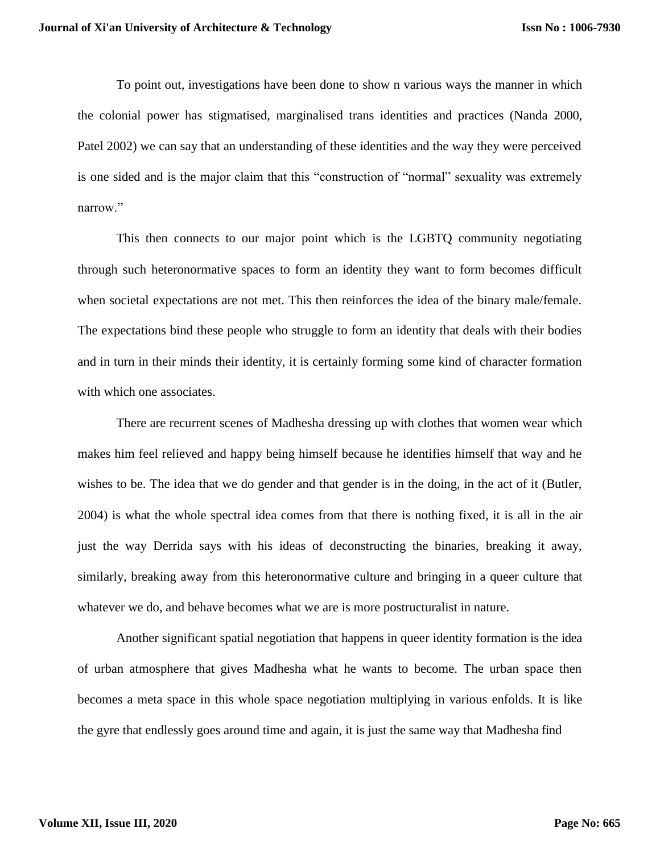To point out, investigations have been done to show n various ways the manner in which the colonial power has stigmatised, marginalised trans identities and practices (Nanda 2000, Patel 2002) we can say that an understanding of these identities and the way they were perceived is one sided and is the major claim that this "construction of "normal" sexuality was extremely narrow."

This then connects to our major point which is the LGBTQ community negotiating through such heteronormative spaces to form an identity they want to form becomes difficult when societal expectations are not met. This then reinforces the idea of the binary male/female. The expectations bind these people who struggle to form an identity that deals with their bodies and in turn in their minds their identity, it is certainly forming some kind of character formation with which one associates.

There are recurrent scenes of Madhesha dressing up with clothes that women wear which makes him feel relieved and happy being himself because he identifies himself that way and he wishes to be. The idea that we do gender and that gender is in the doing, in the act of it (Butler, 2004) is what the whole spectral idea comes from that there is nothing fixed, it is all in the air just the way Derrida says with his ideas of deconstructing the binaries, breaking it away, similarly, breaking away from this heteronormative culture and bringing in a queer culture that whatever we do, and behave becomes what we are is more postructuralist in nature.

Another significant spatial negotiation that happens in queer identity formation is the idea of urban atmosphere that gives Madhesha what he wants to become. The urban space then becomes a meta space in this whole space negotiation multiplying in various enfolds. It is like the gyre that endlessly goes around time and again, it is just the same way that Madhesha find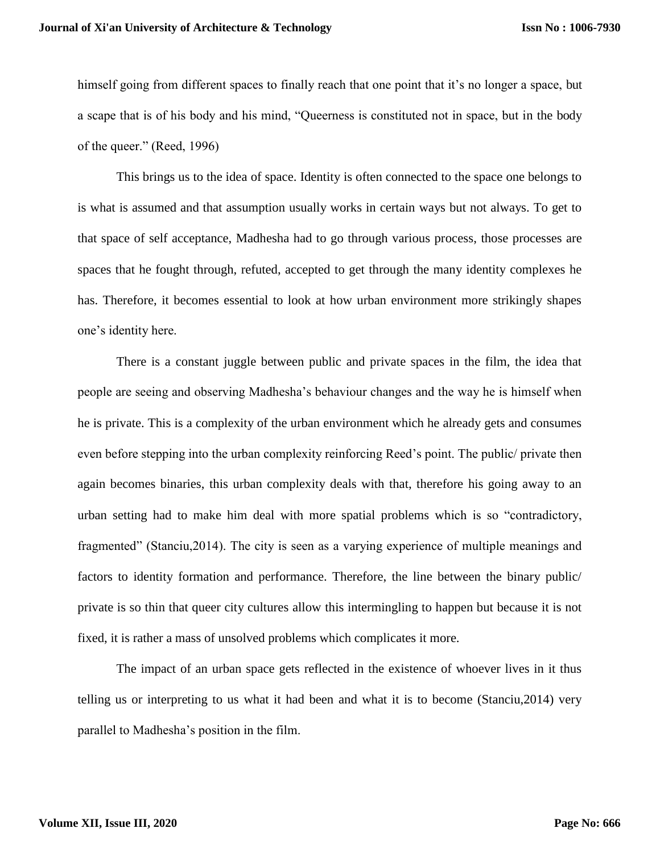himself going from different spaces to finally reach that one point that it's no longer a space, but a scape that is of his body and his mind, "Queerness is constituted not in space, but in the body of the queer." (Reed, 1996)

This brings us to the idea of space. Identity is often connected to the space one belongs to is what is assumed and that assumption usually works in certain ways but not always. To get to that space of self acceptance, Madhesha had to go through various process, those processes are spaces that he fought through, refuted, accepted to get through the many identity complexes he has. Therefore, it becomes essential to look at how urban environment more strikingly shapes one's identity here.

There is a constant juggle between public and private spaces in the film, the idea that people are seeing and observing Madhesha's behaviour changes and the way he is himself when he is private. This is a complexity of the urban environment which he already gets and consumes even before stepping into the urban complexity reinforcing Reed's point. The public/ private then again becomes binaries, this urban complexity deals with that, therefore his going away to an urban setting had to make him deal with more spatial problems which is so "contradictory, fragmented" (Stanciu,2014). The city is seen as a varying experience of multiple meanings and factors to identity formation and performance. Therefore, the line between the binary public/ private is so thin that queer city cultures allow this intermingling to happen but because it is not fixed, it is rather a mass of unsolved problems which complicates it more.

The impact of an urban space gets reflected in the existence of whoever lives in it thus telling us or interpreting to us what it had been and what it is to become (Stanciu,2014) very parallel to Madhesha's position in the film.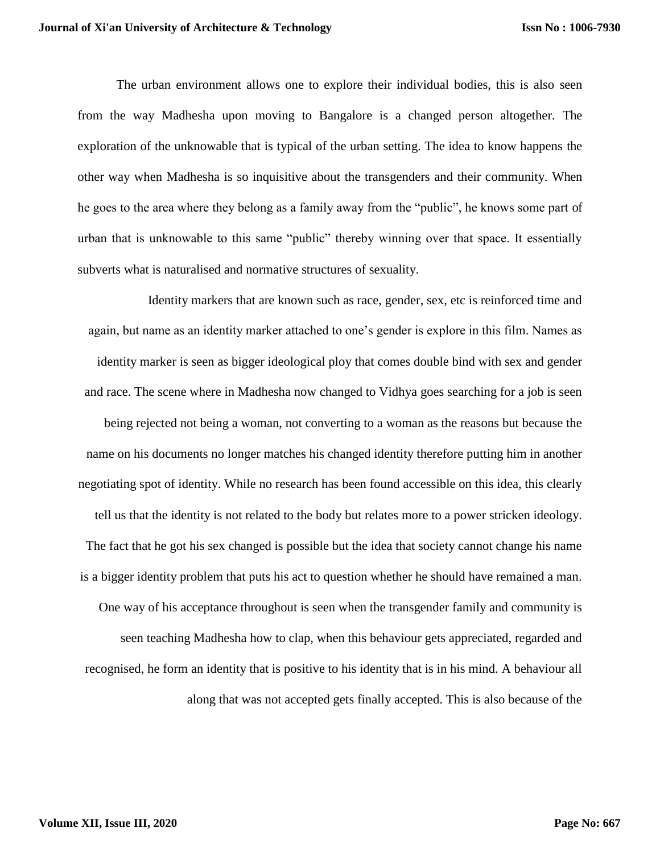The urban environment allows one to explore their individual bodies, this is also seen from the way Madhesha upon moving to Bangalore is a changed person altogether. The exploration of the unknowable that is typical of the urban setting. The idea to know happens the other way when Madhesha is so inquisitive about the transgenders and their community. When he goes to the area where they belong as a family away from the "public", he knows some part of urban that is unknowable to this same "public" thereby winning over that space. It essentially subverts what is naturalised and normative structures of sexuality.

Identity markers that are known such as race, gender, sex, etc is reinforced time and again, but name as an identity marker attached to one's gender is explore in this film. Names as identity marker is seen as bigger ideological ploy that comes double bind with sex and gender and race. The scene where in Madhesha now changed to Vidhya goes searching for a job is seen being rejected not being a woman, not converting to a woman as the reasons but because the name on his documents no longer matches his changed identity therefore putting him in another negotiating spot of identity. While no research has been found accessible on this idea, this clearly tell us that the identity is not related to the body but relates more to a power stricken ideology. The fact that he got his sex changed is possible but the idea that society cannot change his name is a bigger identity problem that puts his act to question whether he should have remained a man. One way of his acceptance throughout is seen when the transgender family and community is seen teaching Madhesha how to clap, when this behaviour gets appreciated, regarded and recognised, he form an identity that is positive to his identity that is in his mind. A behaviour all along that was not accepted gets finally accepted. This is also because of the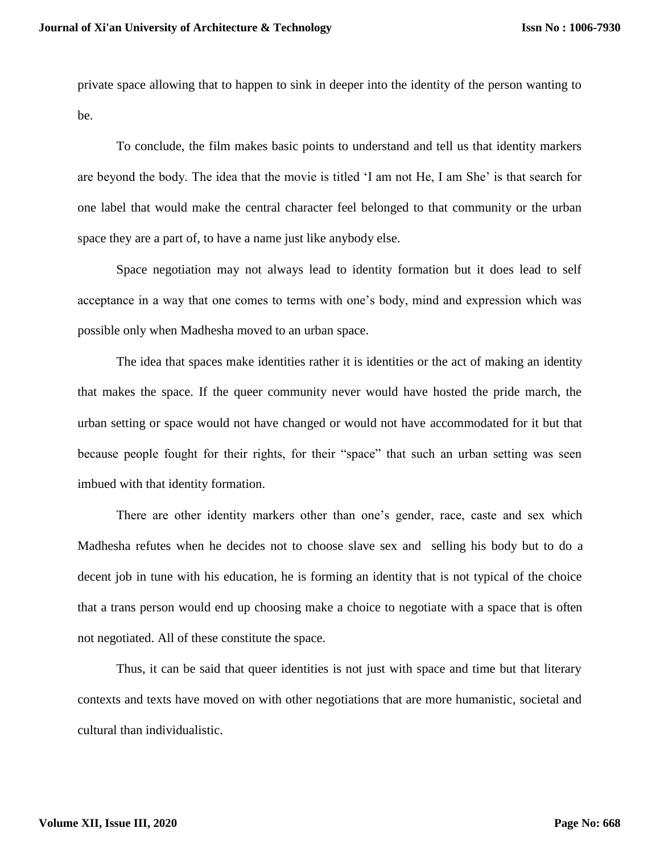private space allowing that to happen to sink in deeper into the identity of the person wanting to be.

To conclude, the film makes basic points to understand and tell us that identity markers are beyond the body. The idea that the movie is titled 'I am not He, I am She' is that search for one label that would make the central character feel belonged to that community or the urban space they are a part of, to have a name just like anybody else.

Space negotiation may not always lead to identity formation but it does lead to self acceptance in a way that one comes to terms with one's body, mind and expression which was possible only when Madhesha moved to an urban space.

The idea that spaces make identities rather it is identities or the act of making an identity that makes the space. If the queer community never would have hosted the pride march, the urban setting or space would not have changed or would not have accommodated for it but that because people fought for their rights, for their "space" that such an urban setting was seen imbued with that identity formation.

There are other identity markers other than one's gender, race, caste and sex which Madhesha refutes when he decides not to choose slave sex and selling his body but to do a decent job in tune with his education, he is forming an identity that is not typical of the choice that a trans person would end up choosing make a choice to negotiate with a space that is often not negotiated. All of these constitute the space.

Thus, it can be said that queer identities is not just with space and time but that literary contexts and texts have moved on with other negotiations that are more humanistic, societal and cultural than individualistic.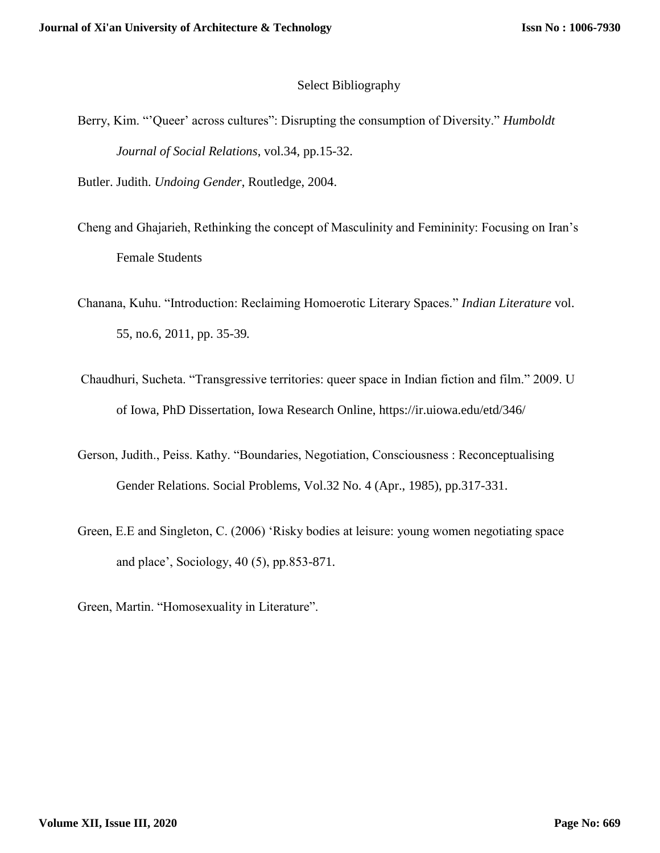## Select Bibliography

- Berry, Kim. "'Queer' across cultures": Disrupting the consumption of Diversity." *Humboldt Journal of Social Relations*, vol.34, pp.15-32.
- Butler. Judith. *Undoing Gender*, Routledge, 2004.
- Cheng and Ghajarieh, Rethinking the concept of Masculinity and Femininity: Focusing on Iran's Female Students
- Chanana, Kuhu. "Introduction: Reclaiming Homoerotic Literary Spaces." *Indian Literature* vol. 55, no.6, 2011, pp. 35-39*.*
- Chaudhuri, Sucheta. "Transgressive territories: queer space in Indian fiction and film." 2009. U of Iowa, PhD Dissertation, Iowa Research Online, https://ir.uiowa.edu/etd/346/
- Gerson, Judith., Peiss. Kathy. "Boundaries, Negotiation, Consciousness : Reconceptualising Gender Relations. Social Problems, Vol.32 No. 4 (Apr., 1985), pp.317-331.
- Green, E.E and Singleton, C. (2006) 'Risky bodies at leisure: young women negotiating space and place', Sociology, 40 (5), pp.853-871.
- Green, Martin. "Homosexuality in Literature".